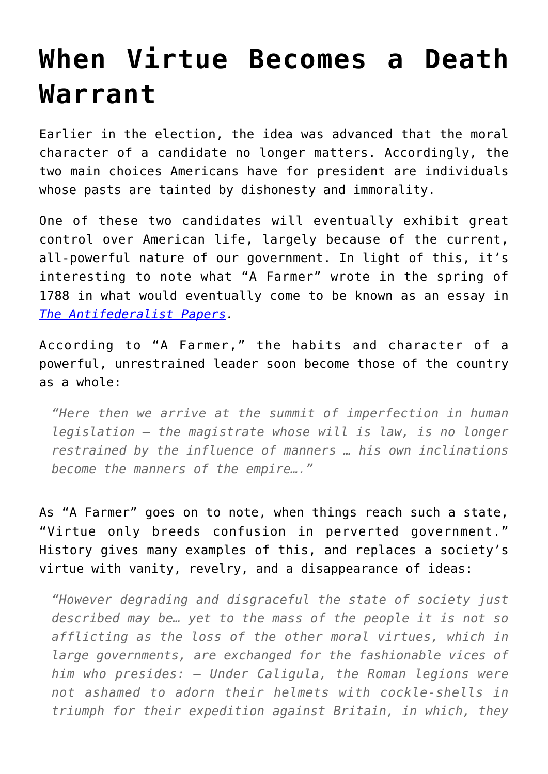## **[When Virtue Becomes a Death](https://intellectualtakeout.org/2016/10/when-virtue-becomes-a-death-warrant/) [Warrant](https://intellectualtakeout.org/2016/10/when-virtue-becomes-a-death-warrant/)**

Earlier in the election, the idea was advanced that the moral character of a candidate no longer matters. Accordingly, the two main choices Americans have for president are individuals whose pasts are tainted by dishonesty and immorality.

One of these two candidates will eventually exhibit great control over American life, largely because of the current, all-powerful nature of our government. In light of this, it's interesting to note what "A Farmer" wrote in the spring of 1788 in what would eventually come to be known as an essay in *[The Antifederalist Papers.](https://books.google.com/books?id=8MO_vGOmQOIC&pg=RA4-PA60&lpg=RA4-PA60&dq=tacitus+informs+us+that+during+his+life+virtue+became+a+death+warrant&source=bl&ots=sbwy3kNEjc&sig=ehsahqHvIiHLV7QMABpNXYshlkU&hl=en&sa=X&ved=0ahUKEwiznv_noNPPAhUnw4MKHQlqBCIQ6AEIHjAA#v=onepage&q&f=false)*

According to "A Farmer," the habits and character of a powerful, unrestrained leader soon become those of the country as a whole:

*"Here then we arrive at the summit of imperfection in human legislation – the magistrate whose will is law, is no longer restrained by the influence of manners … his own inclinations become the manners of the empire…."*

As "A Farmer" goes on to note, when things reach such a state, "Virtue only breeds confusion in perverted government." History gives many examples of this, and replaces a society's virtue with vanity, revelry, and a disappearance of ideas:

*"However degrading and disgraceful the state of society just described may be… yet to the mass of the people it is not so afflicting as the loss of the other moral virtues, which in large governments, are exchanged for the fashionable vices of him who presides: – Under Caligula, the Roman legions were not ashamed to adorn their helmets with cockle-shells in triumph for their expedition against Britain, in which, they*